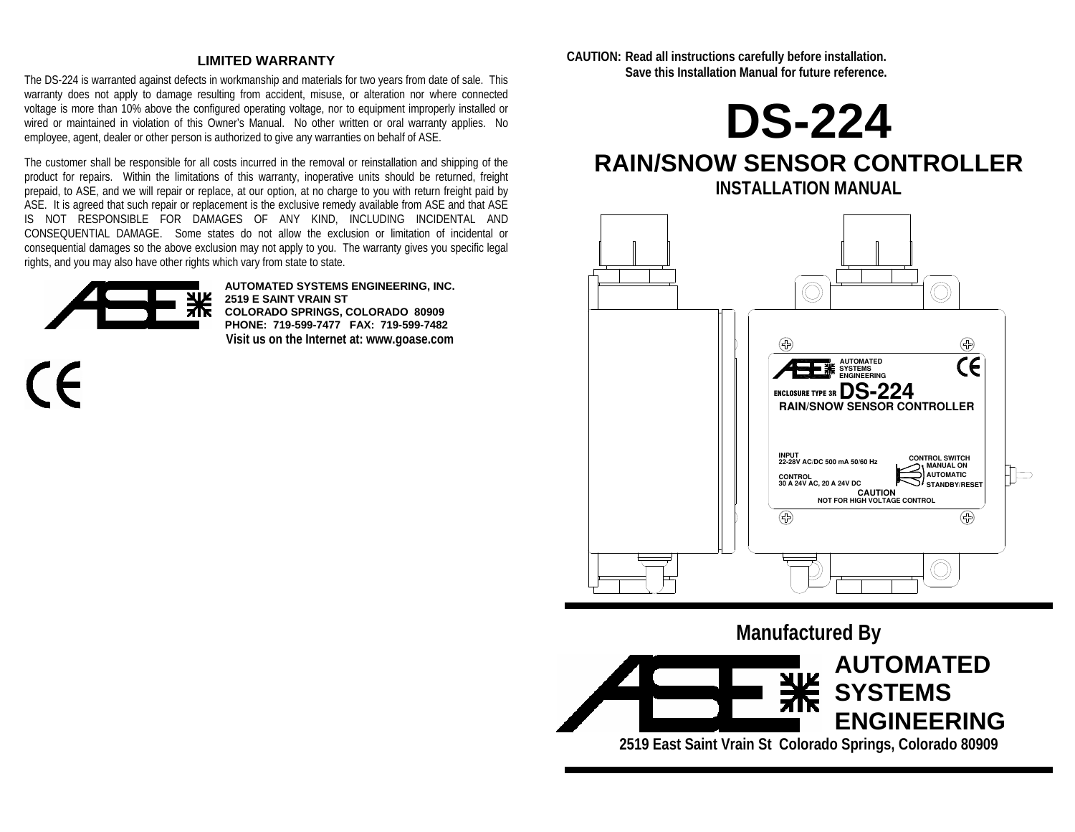### **LIMITED WARRANTY**

The DS-224 is warranted against defects in workmanship and materials for two years from date of sale. This warranty does not apply to damage resulting from accident, misuse, or alteration nor where connected voltage is more than 10% above the configured operating voltage, nor to equipment improperly installed or wired or maintained in violation of this Owner's Manual. No other written or oral warranty applies. No employee, agent, dealer or other person is authorized to give any warranties on behalf of ASE.

The customer shall be responsible for all costs incurred in the removal or reinstallation and shipping of the product for repairs. Within the limitations of this warranty, inoperative units should be returned, freight prepaid, to ASE, and we will repair or replace, at our option, at no charge to you with return freight paid by ASE. It is agreed that such repair or replacement is the exclusive remedy available from ASE and that ASE IS NOT RESPONSIBLE FOR DAMAGES OF ANY KIND, INCLUDING INCIDENTAL AND CONSEQUENTIAL DAMAGE. Some states do not allow the exclusion or limitation of incidental or consequential damages so the above exclusion may not apply to you. The warranty gives you specific legal rights, and you may also have other rights which vary from state to state.



 $\mathcal{C}\mathcal{L}$ 

**AUTOMATED SYSTEMS ENGINEERING, INC. 2519 E SAINT VRAIN ST COLORADO SPRINGS, COLORADO 80909 PHONE: 719-599-7477 FAX: 719-599-7482 Visit us on the Internet at: www.goase.com**  **CAUTION: Read all instructions carefully before installation. Save this Installation Manual for future reference.** 



# **RAIN/SNOW SENSOR CONTROLLER INSTALLATION MANUAL**



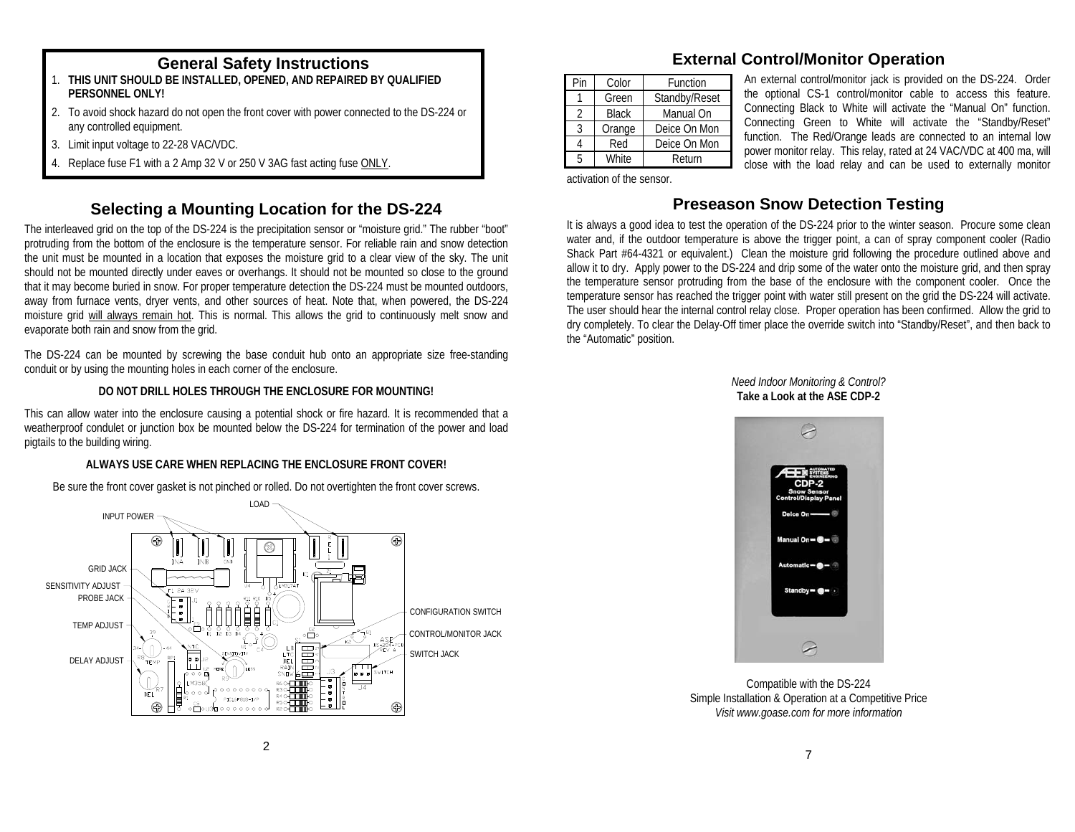## **General Safety Instructions**

- 1. **THIS UNIT SHOULD BE INSTALLED, OPENED, AND REPAIRED BY QUALIFIED PERSONNEL ONLY!**
- 2. To avoid shock hazard do not open the front cover with power connected to the DS-224 or any controlled equipment.
- 3. Limit input voltage to 22-28 VAC/VDC.
- 4. Replace fuse F1 with a 2 Amp 32 V or 250 V 3AG fast acting fuse ONLY.

# **Selecting a Mounting Location for the DS-224**

The interleaved grid on the top of the DS-224 is the precipitation sensor or "moisture grid." The rubber "boot" protruding from the bottom of the enclosure is the temperature sensor. For reliable rain and snow detection the unit must be mounted in a location that exposes the moisture grid to a clear view of the sky. The unit should not be mounted directly under eaves or overhangs. It should not be mounted so close to the ground that it may become buried in snow. For proper temperature detection the DS-224 must be mounted outdoors, away from furnace vents, dryer vents, and other sources of heat. Note that, when powered, the DS-224 moisture grid will always remain hot. This is normal. This allows the grid to continuously melt snow and evaporate both rain and snow from the grid.

The DS-224 can be mounted by screwing the base conduit hub onto an appropriate size free-standing conduit or by using the mounting holes in each corner of the enclosure.

### **DO NOT DRILL HOLES THROUGH THE ENCLOSURE FOR MOUNTING!**

This can allow water into the enclosure causing a potential shock or fire hazard. It is recommended that a weatherproof condulet or junction box be mounted below the DS-224 for termination of the power and load pigtails to the building wiring.

## **ALWAYS USE CARE WHEN REPLACING THE ENCLOSURE FRONT COVER!**

Be sure the front cover gasket is not pinched or rolled. Do not overtighten the front cover screws.



## **External Control/Monitor Operation**

| Pin | Color        | Function      |  |  |  |  |
|-----|--------------|---------------|--|--|--|--|
|     | Green        | Standby/Reset |  |  |  |  |
|     | <b>Black</b> | Manual On     |  |  |  |  |
|     | Orange       | Deice On Mon  |  |  |  |  |
|     | Red          | Deice On Mon  |  |  |  |  |
|     | <b>White</b> | Return        |  |  |  |  |

An external control/monitor jack is provided on the DS-224. Order the optional CS-1 control/monitor cable to access this feature. Connecting Black to White will activate the "Manual On" function. Connecting Green to White will activate the "Standby/Reset" function. The Red/Orange leads are connected to an internal low power monitor relay. This relay, rated at 24 VAC/VDC at 400 ma, will close with the load relay and can be used to externally monitor

activation of the sensor.

## **Preseason Snow Detection Testing**

It is always a good idea to test the operation of the DS-224 prior to the winter season. Procure some clean water and, if the outdoor temperature is above the trigger point, a can of spray component cooler (Radio Shack Part #64-4321 or equivalent.) Clean the moisture grid following the procedure outlined above and allow it to dry. Apply power to the DS-224 and drip some of the water onto the moisture grid, and then spray the temperature sensor protruding from the base of the enclosure with the component cooler. Once the temperature sensor has reached the trigger point with water still present on the grid the DS-224 will activate. The user should hear the internal control relay close. Proper operation has been confirmed. Allow the grid to dry completely. To clear the Delay-Off timer place the override switch into "Standby/Reset", and then back to the "Automatic" position.

> *Need Indoor Monitoring & Control?*  **Take a Look at the ASE CDP-2**



Compatible with the DS-224 Simple Installation & Operation at a Competitive Price *Visit www.goase.com for more information*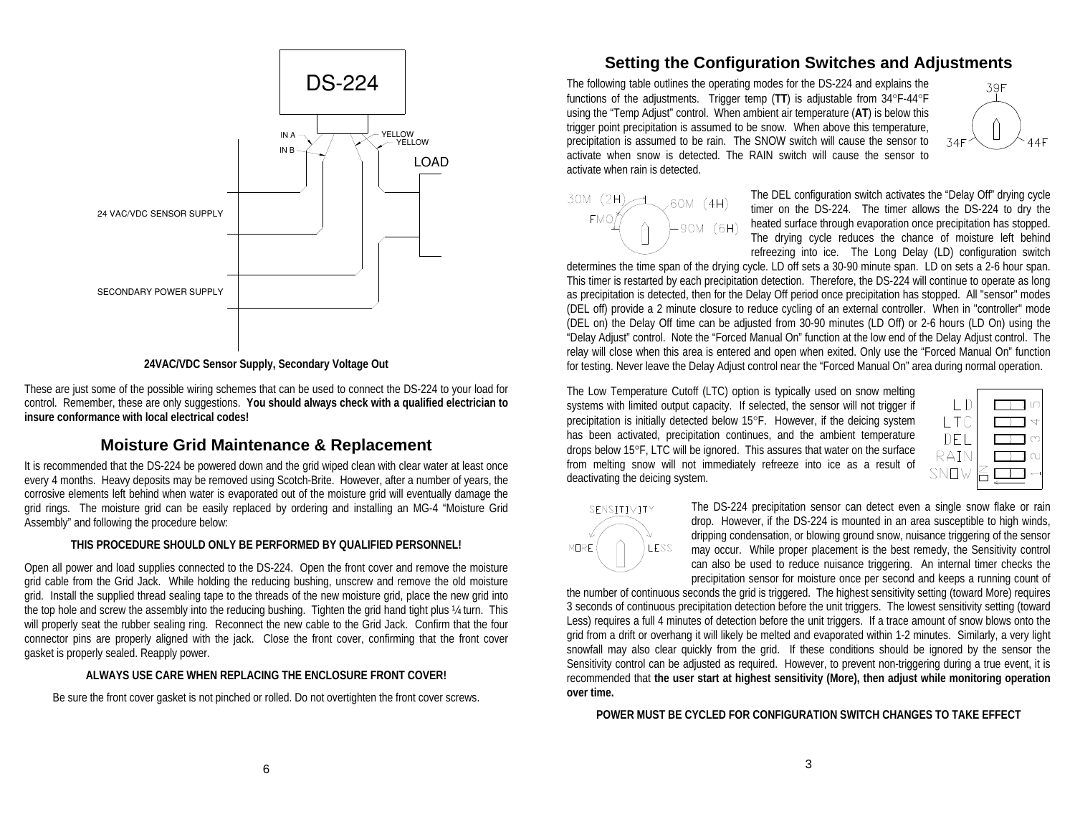

**24VAC/VDC Sensor Supply, Secondary Voltage Out** 

These are just some of the possible wiring schemes that can be used to connect the DS-224 to your load for control. Remember, these are only suggestions. **You should always check with a qualified electrician to insure conformance with local electrical codes!** 

### **Moisture Grid Maintenance & Replacement**

It is recommended that the DS-224 be powered down and the grid wiped clean with clear water at least once every 4 months. Heavy deposits may be removed using Scotch-Brite. However, after a number of years, the corrosive elements left behind when water is evaporated out of the moisture grid will eventually damage the grid rings. The moisture grid can be easily replaced by ordering and installing an MG-4 "Moisture Grid Assembly" and following the procedure below:

#### **THIS PROCEDURE SHOULD ONLY BE PERFORMED BY QUALIFIED PERSONNEL!**

Open all power and load supplies connected to the DS-224. Open the front cover and remove the moisture grid cable from the Grid Jack. While holding the reducing bushing, unscrew and remove the old moisture grid. Install the supplied thread sealing tape to the threads of the new moisture grid, place the new grid into the top hole and screw the assembly into the reducing bushing. Tighten the grid hand tight plus ¼ turn. This will properly seat the rubber sealing ring. Reconnect the new cable to the Grid Jack. Confirm that the four connector pins are properly aligned with the jack. Close the front cover, confirming that the front cover gasket is properly sealed. Reapply power.

#### **ALWAYS USE CARE WHEN REPLACING THE ENCLOSURE FRONT COVER!**

Be sure the front cover gasket is not pinched or rolled. Do not overtighten the front cover screws.

## **Setting the Configuration Switches and Adjustments**

The following table outlines the operating modes for the DS-224 and explains the functions of the adjustments. Trigger temp (**TT**) is adjustable from 34°F-44°F using the "Temp Adjust" control. When ambient air temperature (**AT**) is below this trigger point precipitation is assumed to be snow. When above this temperature, precipitation is assumed to be rain. The SNOW switch will cause the sensor to activate when snow is detected. The RAIN switch will cause the sensor to activate when rain is detected.





The DEL configuration switch activates the "Delay Off" drying cycle timer on the DS-224. The timer allows the DS-224 to dry the heated surface through evaporation once precipitation has stopped. The drying cycle reduces the chance of moisture left behind refreezing into ice. The Long Delay (LD) configuration switch

determines the time span of the drying cycle. LD off sets a 30-90 minute span. LD on sets a 2-6 hour span. This timer is restarted by each precipitation detection. Therefore, the DS-224 will continue to operate as long as precipitation is detected, then for the Delay Off period once precipitation has stopped. All "sensor" modes (DEL off) provide a 2 minute closure to reduce cycling of an external controller. When in "controller" mode (DEL on) the Delay Off time can be adjusted from 30-90 minutes (LD Off) or 2-6 hours (LD On) using the "Delay Adjust" control. Note the "Forced Manual On" function at the low end of the Delay Adjust control. The relay will close when this area is entered and open when exited. Only use the "Forced Manual On" function for testing. Never leave the Delay Adjust control near the "Forced Manual On" area during normal operation.

The Low Temperature Cutoff (LTC) option is typically used on snow melting systems with limited output capacity. If selected, the sensor will not trigger if precipitation is initially detected below 15°F. However, if the deicing system has been activated, precipitation continues, and the ambient temperature drops below 15°F, LTC will be ignored. This assures that water on the surface from melting snow will not immediately refreeze into ice as a result of deactivating the deicing system.

| - T C |  |
|-------|--|
| IJEL  |  |
| RAIN  |  |
| SNO   |  |



The DS-224 precipitation sensor can detect even a single snow flake or rain drop. However, if the DS-224 is mounted in an area susceptible to high winds, dripping condensation, or blowing ground snow, nuisance triggering of the sensor may occur. While proper placement is the best remedy, the Sensitivity control can also be used to reduce nuisance triggering. An internal timer checks the precipitation sensor for moisture once per second and keeps a running count of

the number of continuous seconds the grid is triggered. The highest sensitivity setting (toward More) requires 3 seconds of continuous precipitation detection before the unit triggers. The lowest sensitivity setting (toward Less) requires a full 4 minutes of detection before the unit triggers. If a trace amount of snow blows onto the grid from a drift or overhang it will likely be melted and evaporated within 1-2 minutes. Similarly, a very light snowfall may also clear quickly from the grid. If these conditions should be ignored by the sensor the Sensitivity control can be adjusted as required. However, to prevent non-triggering during a true event, it is recommended that **the user start at highest sensitivity (More), then adjust while monitoring operation over time.**

**POWER MUST BE CYCLED FOR CONFIGURATION SWITCH CHANGES TO TAKE EFFECT**